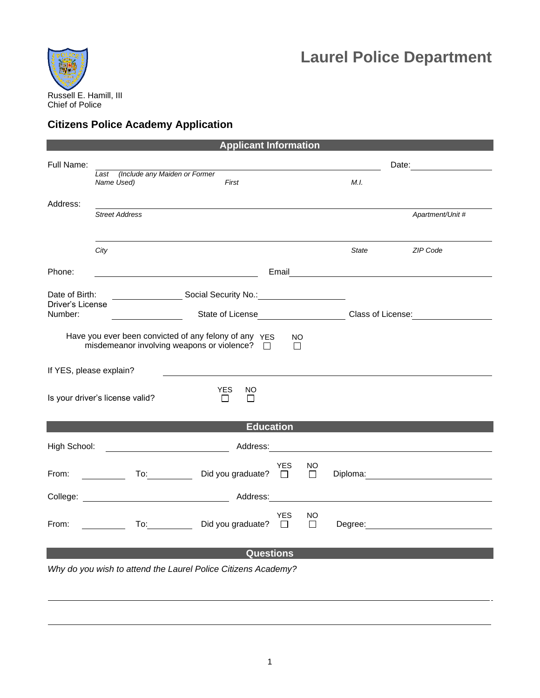

## **Laurel Police Department**

## **Citizens Police Academy Application**

| <b>Applicant Information</b>                                                                                                     |                                                                                                                                                                                                                                |                                                              |                                 |            |              |                                         |                                                                                                                                                                                                                                      |  |  |  |
|----------------------------------------------------------------------------------------------------------------------------------|--------------------------------------------------------------------------------------------------------------------------------------------------------------------------------------------------------------------------------|--------------------------------------------------------------|---------------------------------|------------|--------------|-----------------------------------------|--------------------------------------------------------------------------------------------------------------------------------------------------------------------------------------------------------------------------------------|--|--|--|
| Full Name:                                                                                                                       |                                                                                                                                                                                                                                |                                                              |                                 |            |              | Date: <u>____________________</u>       |                                                                                                                                                                                                                                      |  |  |  |
|                                                                                                                                  | Last (Include any Maiden or Former<br>Name Used)                                                                                                                                                                               |                                                              | First                           |            |              | M.I.                                    |                                                                                                                                                                                                                                      |  |  |  |
| Address:                                                                                                                         |                                                                                                                                                                                                                                |                                                              |                                 |            |              |                                         |                                                                                                                                                                                                                                      |  |  |  |
|                                                                                                                                  | <b>Street Address</b>                                                                                                                                                                                                          |                                                              |                                 |            |              |                                         | Apartment/Unit #                                                                                                                                                                                                                     |  |  |  |
|                                                                                                                                  |                                                                                                                                                                                                                                |                                                              |                                 |            |              |                                         |                                                                                                                                                                                                                                      |  |  |  |
|                                                                                                                                  | City                                                                                                                                                                                                                           |                                                              |                                 |            |              | <b>State</b>                            | ZIP Code                                                                                                                                                                                                                             |  |  |  |
| Phone:                                                                                                                           |                                                                                                                                                                                                                                |                                                              |                                 |            |              |                                         |                                                                                                                                                                                                                                      |  |  |  |
| Date of Birth:                                                                                                                   |                                                                                                                                                                                                                                | Social Security No.: Charles Contains a Social Security No.: |                                 |            |              |                                         |                                                                                                                                                                                                                                      |  |  |  |
| Driver's License<br>Number:                                                                                                      |                                                                                                                                                                                                                                | State of License State of License                            |                                 |            |              | Class of License: The Class of License: |                                                                                                                                                                                                                                      |  |  |  |
| Have you ever been convicted of any felony of any YES<br><b>NO</b><br>misdemeanor involving weapons or violence?<br>П<br>$\perp$ |                                                                                                                                                                                                                                |                                                              |                                 |            |              |                                         |                                                                                                                                                                                                                                      |  |  |  |
| If YES, please explain?                                                                                                          |                                                                                                                                                                                                                                |                                                              |                                 |            |              |                                         |                                                                                                                                                                                                                                      |  |  |  |
| Is your driver's license valid?                                                                                                  |                                                                                                                                                                                                                                |                                                              | <b>YES</b><br>NO<br>П<br>$\Box$ |            |              |                                         |                                                                                                                                                                                                                                      |  |  |  |
|                                                                                                                                  |                                                                                                                                                                                                                                |                                                              | <b>Education</b>                |            |              |                                         |                                                                                                                                                                                                                                      |  |  |  |
| High School:                                                                                                                     |                                                                                                                                                                                                                                |                                                              |                                 |            |              |                                         |                                                                                                                                                                                                                                      |  |  |  |
| From:                                                                                                                            |                                                                                                                                                                                                                                |                                                              | Did you graduate? $\Box$        | <b>YES</b> | NO<br>$\Box$ |                                         | Diploma: <u>University of the set of the set of the set of the set of the set of the set of the set of the set of the set of the set of the set of the set of the set of the set of the set of the set of the set of the set of </u> |  |  |  |
|                                                                                                                                  |                                                                                                                                                                                                                                |                                                              |                                 |            |              |                                         |                                                                                                                                                                                                                                      |  |  |  |
| From:                                                                                                                            | To: the contract of the contract of the contract of the contract of the contract of the contract of the contract of the contract of the contract of the contract of the contract of the contract of the contract of the contra |                                                              | Did you graduate? $\Box$        | <b>YES</b> | NO<br>$\Box$ |                                         | Degree: National Contract of the Contract of the Contract of the Contract of the Contract of the Contract of the Contract of the Contract of the Contract of the Contract of the Contract of the Contract of the Contract of t       |  |  |  |
|                                                                                                                                  |                                                                                                                                                                                                                                |                                                              | <b>Questions</b>                |            |              |                                         |                                                                                                                                                                                                                                      |  |  |  |
| Why do you wish to attend the Laurel Police Citizens Academy?                                                                    |                                                                                                                                                                                                                                |                                                              |                                 |            |              |                                         |                                                                                                                                                                                                                                      |  |  |  |